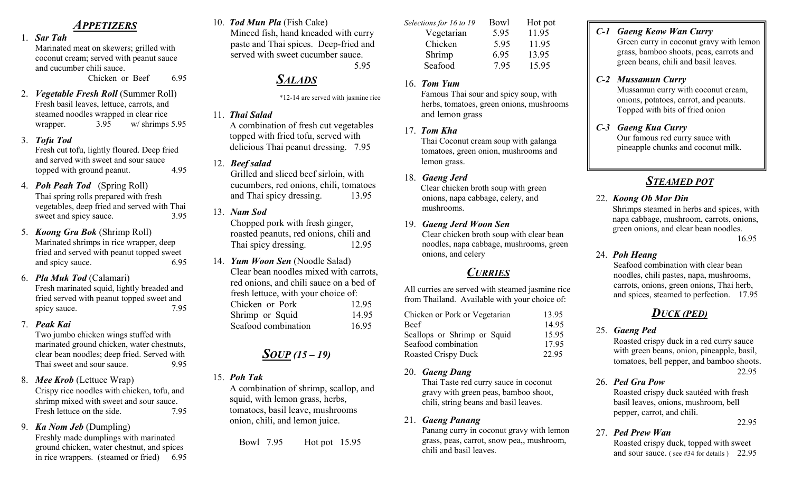## APPETIZERS

1. Sar Tah

Marinated meat on skewers; grilled with coconut cream; served with peanut sauce and cucumber chili sauce.

Chicken or Beef 6.95

- 2. Vegetable Fresh Roll (Summer Roll) Fresh basil leaves, lettuce, carrots, and steamed noodles wrapped in clear rice wrapper. 3.95 w/ shrimps 5.95
- 3. Tofu Tod

Fresh cut tofu, lightly floured. Deep fried and served with sweet and sour sauce topped with ground peanut. 4.95

- 4. Poh Peah Tod (Spring Roll) Thai spring rolls prepared with fresh vegetables, deep fried and served with Thai sweet and spicy sauce. 3.95
- 5. Koong Gra Bok (Shrimp Roll) Marinated shrimps in rice wrapper, deep fried and served with peanut topped sweet and spicy sauce. 6.95
- 6. Pla Muk Tod (Calamari) Fresh marinated squid, lightly breaded and fried served with peanut topped sweet and spicy sauce. 7.95
- 7. Peak Kai

Two jumbo chicken wings stuffed with marinated ground chicken, water chestnuts, clear bean noodles; deep fried. Served with Thai sweet and sour sauce. 9.95

- 8. Mee Krob (Lettuce Wrap) Crispy rice noodles with chicken, tofu, and shrimp mixed with sweet and sour sauce. Fresh lettuce on the side. 7.95
- 9. Ka Nom Jeb (Dumpling)

Freshly made dumplings with marinated ground chicken, water chestnut, and spices in rice wrappers. (steamed or fried) 6.95 10. Tod Mun Pla (Fish Cake) Minced fish, hand kneaded with curry paste and Thai spices. Deep-fried and served with sweet cucumber sauce. 5.95

## **SALADS**

\*12-14 are served with jasmine rice

11. Thai Salad

A combination of fresh cut vegetables topped with fried tofu, served with delicious Thai peanut dressing. 7.95

12. Beef salad

Grilled and sliced beef sirloin, with cucumbers, red onions, chili, tomatoes and Thai spicy dressing. 13.95

13. Nam Sod

 Chopped pork with fresh ginger, roasted peanuts, red onions, chili and Thai spicy dressing. 12.95

14. Yum Woon Sen (Noodle Salad) Clear bean noodles mixed with carrots, red onions, and chili sauce on a bed of fresh lettuce, with your choice of: Chicken or Pork 12.95 Shrimp or Squid 14.95 Seafood combination 16.95

## $SOUP (15 – 19)$

15. Poh Tak

A combination of shrimp, scallop, and squid, with lemon grass, herbs, tomatoes, basil leave, mushrooms onion, chili, and lemon juice.

Bowl 7.95 Hot pot 15.95

| Bowl | Hot pot |
|------|---------|
| 5.95 | 11.95   |
| 5.95 | 11.95   |
| 6.95 | 13.95   |
| 7.95 | 15.95   |
|      |         |

16. Tom Yum

Famous Thai sour and spicy soup, with herbs, tomatoes, green onions, mushrooms and lemon grass

- 17. Tom Kha Thai Coconut cream soup with galanga tomatoes, green onion, mushrooms and lemon grass.
- 18. Gaeng Jerd Clear chicken broth soup with green onions, napa cabbage, celery, and mushrooms.
- 19. Gaeng Jerd Woon Sen Clear chicken broth soup with clear bean noodles, napa cabbage, mushrooms, green onions, and celery

# **CURRIES**

All curries are served with steamed jasmine rice from Thailand. Available with your choice of:

| Chicken or Pork or Vegetarian | 13.95 |
|-------------------------------|-------|
| <b>Beef</b>                   | 14.95 |
| Scallops or Shrimp or Squid   | 15.95 |
| Seafood combination           | 17.95 |
| <b>Roasted Crispy Duck</b>    | 22.95 |

20. Gaeng Dang

Thai Taste red curry sauce in coconut gravy with green peas, bamboo shoot, chili, string beans and basil leaves.

21. Gaeng Panang

Panang curry in coconut gravy with lemon grass, peas, carrot, snow pea,, mushroom, chili and basil leaves.

C-1 Gaeng Keow Wan Curry

Green curry in coconut gravy with lemon grass, bamboo shoots, peas, carrots and green beans, chili and basil leaves.

## C-2 Mussamun Curry

Mussamun curry with coconut cream, onions, potatoes, carrot, and peanuts. Topped with bits of fried onion

C-3 Gaeng Kua Curry

Our famous red curry sauce with pineapple chunks and coconut milk.

# STEAMED POT

22. Koong Ob Mor Din Shrimps steamed in herbs and spices, with

napa cabbage, mushroom, carrots, onions, green onions, and clear bean noodles. 16.95

#### 24. Poh Heang

Seafood combination with clear bean noodles, chili pastes, napa, mushrooms, carrots, onions, green onions, Thai herb, and spices, steamed to perfection. 17.95

## DUCK (PED)

### 25. Gaeng Ped

Roasted crispy duck in a red curry sauce with green beans, onion, pineapple, basil, tomatoes, bell pepper, and bamboo shoots. 22.95

26. Ped Gra Pow

Roasted crispy duck sautéed with fresh basil leaves, onions, mushroom, bell pepper, carrot, and chili. 22.95

#### 27. Ped Prew Wan

Roasted crispy duck, topped with sweet and sour sauce. ( see #34 for details ) 22.95